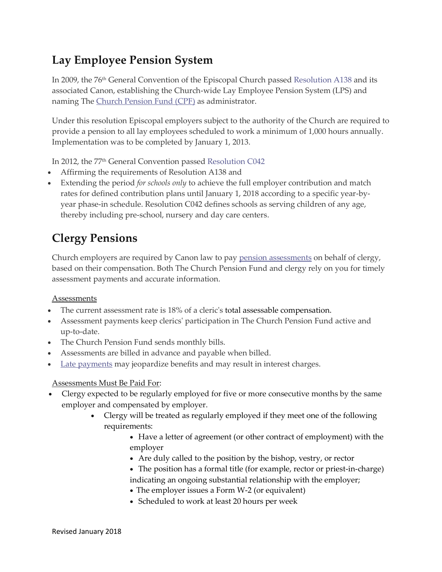## **Lay Employee Pension System**

In 2009, the 76<sup>th</sup> General Convention of the Episcopal Church passed [Resolution](https://www.cpg.org/administrators/retirement/pensions-lay-employees/understand/resolutions/) A138 and its associated Canon, establishing the Church-wide Lay Employee Pension System (LPS) and naming The Church [Pension](https://www.cpg.org/global/about-us/about-cpg/church-pension-fund/) Fund (CPF) as administrator.

Under this resolution Episcopal employers subject to the authority of the Church are required to provide a pension to all lay employees scheduled to work a minimum of 1,000 hours annually. Implementation was to be completed by January 1, 2013.

In 2012, the 77th General Convention passed [Resolution](https://www.cpg.org/administrators/retirement/pensions-lay-employees/understand/resolutions/) C042

- Affirming the requirements of Resolution A138 and
- Extending the period *for schools only* to achieve the full employer contribution and match rates for defined contribution plans until January 1, 2018 according to a specific year-byyear phase-in schedule. Resolution C042 defines schools as serving children of any age, thereby including pre-school, nursery and day care centers.

## **Clergy Pensions**

Church employers are required by Canon law to pay pension [assessments](https://www.cpg.org/administrators/retirement/pensions-clergy/paying-assessments/) on behalf of clergy, based on their compensation. Both The Church Pension Fund and clergy rely on you for timely assessment payments and accurate information.

## Assessments

- The current assessment rate is 18% of a cleric's total assessable compensation.
- Assessment payments keep clerics' participation in The Church Pension Fund active and up-to-date.
- The Church Pension Fund sends monthly bills.
- Assessments are billed in advance and payable when billed.
- Late [payments](https://www.cpg.org/administrators/retirement/pensions-clergy/paying-assessments/late-payments/) may jeopardize benefits and may result in interest charges.

## Assessments Must Be Paid For:

- Clergy expected to be regularly employed for five or more consecutive months by the same employer and compensated by employer.
	- Clergy will be treated as regularly employed if they meet one of the following requirements:
		- Have a letter of agreement (or other contract of employment) with the employer
		- Are duly called to the position by the bishop, vestry, or rector
		- The position has a formal title (for example, rector or priest-in-charge) indicating an ongoing substantial relationship with the employer;
		- The employer issues a Form W-2 (or equivalent)
		- Scheduled to work at least 20 hours per week